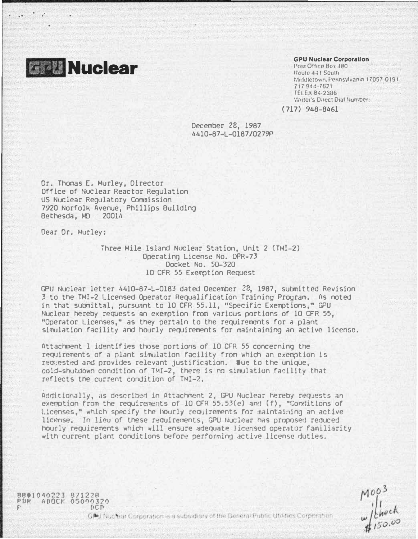

 $\dddot{\phantom{1}}$ 

#### **GPU Nuclear Corporation**

Post Office Box 480 Route 441 South Middletown. Pennsylvania 17057-0191 717944-7621 TELEX 84-2386 Writer's Direct Dial Number:

 $(717)$  948-8461

December 28, 1987 4410-87-L-0187/0279P

Dr. Thomas E. Murley, Director Office of Nuclear Reactor Regulation US Nuclear Regulatory Commission 7920 Norfolk Avenue, Phillips Building Bethesda, MD 20014

Dear Dr. Murley:

8801040223 871228<br>PDR ADOCK 05000320

 $F \subset F$ 

Three Mile Island Nuclear Station, Unit 2 (TMI-2) Operating License No. DPR-73 Docket No. 50-320 10 CFR 55 Exemption Request

GPU Nuclear letter 4410-87-L-0183 dated December 28, 1987, submitted Revision 3 to the TMI-2 Licensed Operator Requalification Training Program. As noted in that submittal, pursuant to 10 CFR 55.11, "Specific Exemptions," GPU Nuclear hereby requests an exemption from various portions of 10 CFR 55. "Operator Licenses," as they pertain to the requirements for a plant simulation facility and hourly requirements for maintaining an active license.

Attachment 1 identifies those portions of 10 CFR 55 concerning the requirements of a plant simulation facility from which an exemption is requested and provides relevant justification. Due to the unique, cold-shutdown condition of TMI-2, there is no simulation facility that reflects the current condition of TMI-2.

Additionally, as described in Attachment 2, GPU Nuclear hereby requests an exemption from the requirements of 10 CFR 55.53(e) and (f), "Conditions of Licenses," which specify the hourly requirements for maintaining an active license. In lieu of these requirements, GPU Nuclear has proposed reduced hourly requirements which will ensure adequate licensed operator familiarity with current plant conditions before performing active license duties.

 $M^{003}_{\nu}$ <br> $M^{003}_{150.00}$ 

G. Li Nuclear Corporation is a subsidiary of the General Public Utilities Corporation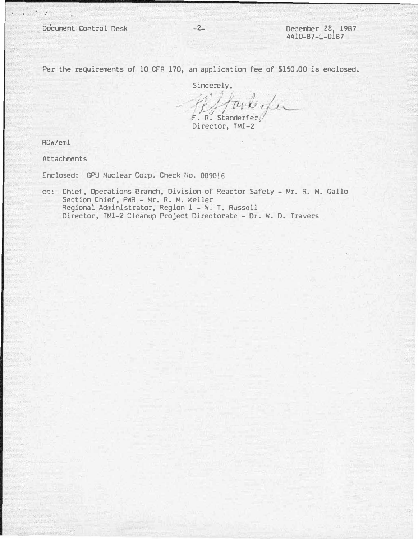Per the requirements of 10 CFR 170, an application fee of \$150.00 is enclosed.

 $-2-$ 

Sincerely,

F. R. Standerfer

Director, TMI-2

RDW/eml

 $\ddots$  ,  $\ddots$ 

**Attachments** 

Enclosed: GPU Nuclear Corp. Check No. 009016

cc: Chief, Operations Branch, Division of Reactor Safety - Mr. R. M. Gallo Section Chief, PWR - Mr. R. M. Keller Regional Administrator, Region 1 - W. T. Russell Director, TMI-2 Cleanup Project Directorate - Dr. W. D. Travers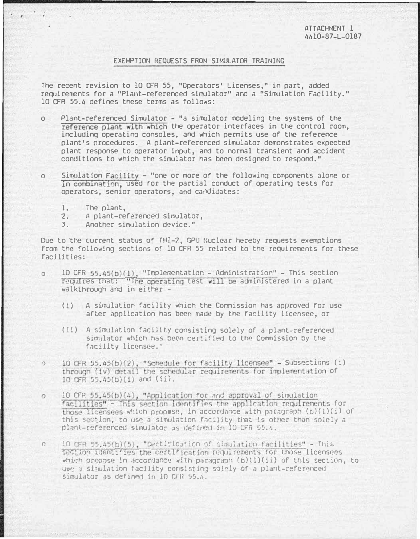## EXEMPTION REQUESTS FROM SIMULATOR TRAINING

The recent revision to 10 CFR 55. "Operators' Licenses." in part, added requirements for a "Plant-referenced simulator" and a "Simulation Facility." 10 CFR 55.4 defines these terms as follows:

- Plant-referenced Simulator "a simulator modeling the systems of the  $\Omega$ reference plant with which the operator interfaces in the control room. including operating consoles, and which permits use of the reference plant's procedures. A plant-referenced simulator demonstrates expected plant response to operator input, and to normal transient and accident conditions to which the simulator has been designed to respond."
- Simulation Facility "one or more of the following components alone or  $\Omega$ in combination, used for the partial conduct of operating tests for operators, senior operators, and candidates:
	- 1. The plant,

 $\cdot$  ,  $\cdot$  .

- 2. A plant-referenced simulator,
- $3 -$ Another simulation device."

Due to the current status of TMI-2. GPU Nuclear hereby requests exemptions from the following sections of 10 CFR 55 related to the requirements for these facilities:

- 10 CFR 55.45(b)(1). "Implementation Administration" This section  $\circ$ requires that: "The operating test will be administered in a plant walkthrough and in either -
	- $(i)$  A simulation facility which the Commission has approved for use after application has been made by the facility licensee, or
	- (ii) A simulation facility consisting solely of a plant-referenced simulator which has been certified to the Commission by the facility licensee."
- 10 CFR 55.45(b)(2), "Schedule for facility licensee" Subsections (i)  $\Omega$ through (iv) detail the schedular requirements for implementation of 10 CFR 55.45(b)(1) and (ii).
- 10 CFR 55.45(b)(4). "Application for and approval of simulation  $\circ$ facilities" - This section identifies the application requirements for those licensees which propose, in accordance with paragraph  $(b)(1)(i)$  of this section, to use a simulation facility that is other than solely a plant-referenced simulator as defined in 10 CFR 55.4.
- 10 CFR 55.45(b)(5), "Certification of simulation facilities" This  $\mathcal{O}$ section identifies the certification regulrements for those licensees which propose in accordance with paragraph  $(b)(1)(1)$  of this section, to use a simulation facility consisting solely of a plant-referenced simulator as defined in 10 CFR 55.4.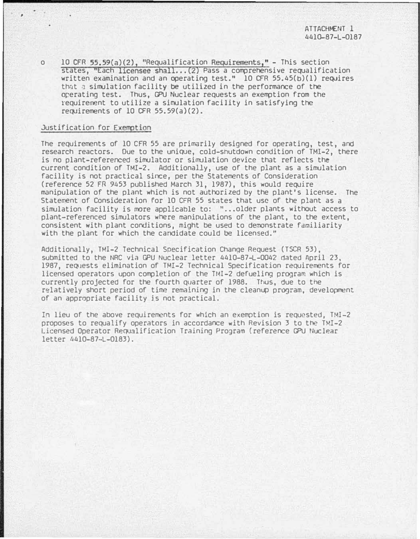o 10 CFR 55.59(a)(2), "Requalification Requirements," - This section states, "Each licensee shall...(2) Pass a comprehensive requalification written examination and an operating test."  $10$  CFR 55.45(b)(1) requires that a simulation facility be utilized in the performance of the operating test. Thus, GPU Nuclear requests an exemption from the requirerrent to utilize a simulation facility in satisfying the requirements of 10 CFR  $55.59(a)(2)$ .

### Justification for Exemption

The requirements of 10 CFR 55 are primarily designed for operating, test, and research reactors. Due to the unique, cold-shutdown condition of TMl-2, there is no plant-referenced simulator or simulation device that reflects the current condition of TMI-2. Additionally, use of the plant as a simulation facility is not practical since, per the Statements of Consideration (reference 52 FR 9453 published March 31, 1987), this would require manipulation of the plant which is not authorized by the plant's license. The Statement of Consideration For 10 CFR 55 states that usc of the plant as a simulation facility is more applicable to: "...older plants without access to plant-referenced simulators where manipulations of the plant, to the extent, consistent with plant conditions, might be used to demonstrate familiarity with the plant for which the candidate could be licensed."

Additionally, TMI-2 Technical Specification Change Request (TSCR 53), submitted to the NRC via GPU Nuclear letter 4410-87-L-0042 dated April 23, 1987, requests elimination of TMI-2 Technical Specification requirements for licensed operators upon completion of the TMI-2 defueling program which is currently projected for the fourth quarter of 1988. Thus, due to the relatively short period of time remaining in the cleanup program, development of an appropriate facility is not practical.

In lieu of the above requirements for which an exemption is requested. TMI-2 proposes to requalify operators in accordance with Revision 3 to the TMI-2 Licensed Operator Requalification Training Program (reference GPU Nuclear letter 4410-87-L-0183).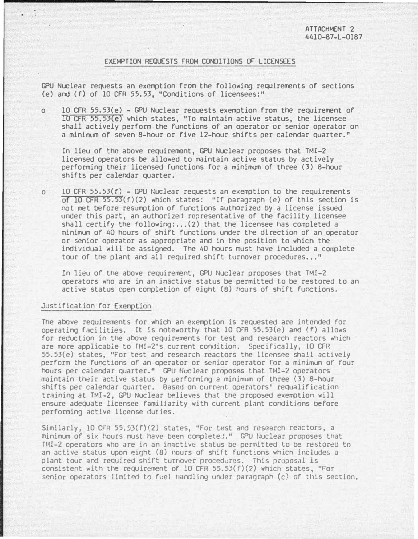# EXEMPTION REQUESTS FROM CONDITIONS OF LICENSEES

GPU Nuclear requests an exemption from the following requirements of sections (e) and (f) of 10 CFR 55.53, "Conditions of licensees:"

o 10 CFR 55.53(e) - GPU Nuclear requests exemption from the requirement of  $10$  CFR 55.53(e) which states, "To maintain active status, the licensee shall actively perform the functions of an operator or senior operator on a minirrum of seven 8-hour or five 12-hour shifts per calendar quarter."

In lieu of the above requirement, GPU Nuclear proposes that TMI-2 licensed operators be allowed to maintain active status by actively performing their licensed functions for a minimum of three (3) 8-l10ur shifts per calendar quarter .

o 10 CFR 55.53 $(f)$  - GPU Nuclear requests an exemption to the requirements of Io CFR 55.53(f)(2) which states: "lf paragraph (e) of this section is not met before resumption of functions authOrized by a license issued under this part, an authorized representative of the facility licensee shall certify the following:... $(2)$  that the licensee has completed a minimum of 40 hours of shift functions under the direction of an operator or senior operator as appropriate and in the position to which the individual will be assigned. The 40 hours must have included a complete tour of the plant and all required shift turnover procedures..."

In lieu of the above requirement, GPU Nuclear proposes that TMI-2 operators who are in an inactive status be permitted to be restored to an active status open completion of eight (8) hours of shift functions.

### Justification for Exemption

The above requirements for which an exemption is requested are intended for operating facilities. It is noteworthy that 10 CFR 55.53(e) and (f) allows for reduction in the above requirements for test and research reactors which are more applicable to TMI-2's current condition. Specifically, 10 CFR 55.53(e) states, "For test and research reactors the licensee shall actively perform the functions of an operator or senior operator for a minimum of Four hours per calendar quarter." GPU Nuclear proposes that TMI-2 operators maintain t�ir active status by �erforming a minimum of three (3) 8-hour shifts per calendar quarter. Based on current operators' requalification training at TMI-2, GPU Nuclear believes that the proposed exemption will ensure adequate licensee familiarity with current plant conditions before performing active license duties.

Similarly, 10 CFR 55.53(f)(2) states, "For test and research reactors, a minimum of six hours must have teen completed." GPU Nuclear proposes that TMI-2 operators who are in an inactive status be permitted to be restored to an active status upon eight (8) hours of shift functions which includes a plant tour and required shift turnover procedures. This proposal is consistent with the requirement of 10 CFR 55.53(f)(2) which states, "For senior operators limited to fuel handling under paragraph (c) of this section,